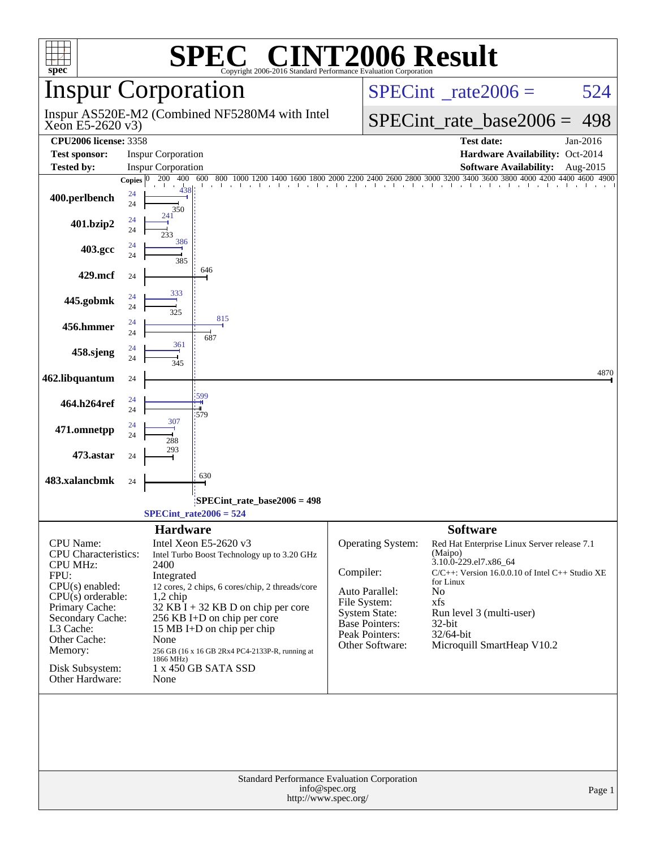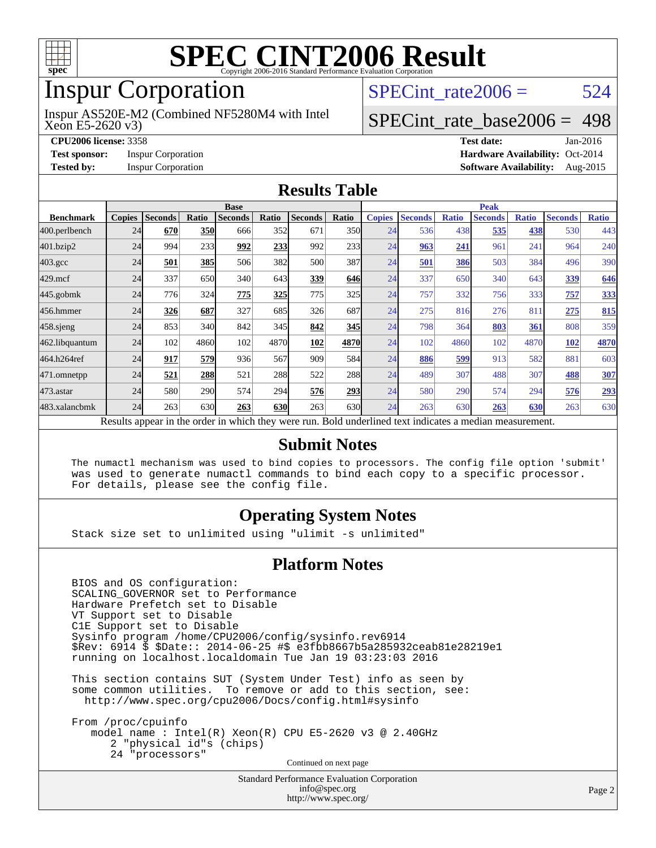

### Inspur Corporation

Xeon E5-2620 v3) Inspur AS520E-M2 (Combined NF5280M4 with Intel SPECint rate $2006 = 524$ 

#### [SPECint\\_rate\\_base2006 =](http://www.spec.org/auto/cpu2006/Docs/result-fields.html#SPECintratebase2006) 498

**[CPU2006 license:](http://www.spec.org/auto/cpu2006/Docs/result-fields.html#CPU2006license)** 3358 **[Test date:](http://www.spec.org/auto/cpu2006/Docs/result-fields.html#Testdate)** Jan-2016 **[Test sponsor:](http://www.spec.org/auto/cpu2006/Docs/result-fields.html#Testsponsor)** Inspur Corporation **[Hardware Availability:](http://www.spec.org/auto/cpu2006/Docs/result-fields.html#HardwareAvailability)** Oct-2014 **[Tested by:](http://www.spec.org/auto/cpu2006/Docs/result-fields.html#Testedby)** Inspur Corporation **[Software Availability:](http://www.spec.org/auto/cpu2006/Docs/result-fields.html#SoftwareAvailability)** Aug-2015

#### **[Results Table](http://www.spec.org/auto/cpu2006/Docs/result-fields.html#ResultsTable)**

|                    | <b>Base</b>   |                |       |                                                                                                          |       |                | <b>Peak</b> |               |                |              |                |              |                |              |
|--------------------|---------------|----------------|-------|----------------------------------------------------------------------------------------------------------|-------|----------------|-------------|---------------|----------------|--------------|----------------|--------------|----------------|--------------|
| <b>Benchmark</b>   | <b>Copies</b> | <b>Seconds</b> | Ratio | <b>Seconds</b>                                                                                           | Ratio | <b>Seconds</b> | Ratio       | <b>Copies</b> | <b>Seconds</b> | <b>Ratio</b> | <b>Seconds</b> | <b>Ratio</b> | <b>Seconds</b> | <b>Ratio</b> |
| 400.perlbench      | 24            | 670            | 350   | 666                                                                                                      | 352   | 671            | 350         | 24            | 536            | 438          | 535            | 438          | 530            | 443          |
| 401.bzip2          | 24            | 994            | 233   | 992                                                                                                      | 233   | 992            | 233         | 24            | 963            | 241          | 961            | 241          | 964            | 240          |
| $403.\mathrm{gcc}$ | 24            | 501            | 385   | 506                                                                                                      | 382   | 500            | 387         | 24            | 501            | 386          | 503            | 384          | 496            | 390          |
| $429$ .mcf         | 24            | 337            | 650   | 340                                                                                                      | 643   | 339            | 646         | 24            | 337            | 650          | 340            | 643          | 339            | 646          |
| $445$ .gobmk       | 24            | 776            | 324   | 775                                                                                                      | 325   | 775            | 325         | 24            | 757            | 332          | 756            | 333          | 757            | 333          |
| 456.hmmer          | 24            | 326            | 687   | 327                                                                                                      | 685   | 326            | 687         | 24            | 275            | 816          | 276            | 811          | 275            | 815          |
| $458$ .sjeng       | 24            | 853            | 340   | 842                                                                                                      | 345   | 842            | 345         | 24            | 798            | 364          | 803            | 361          | 808            | 359          |
| 462.libquantum     | 24            | 102            | 4860  | 102                                                                                                      | 4870  | 102            | 4870        | 24            | 102            | 4860         | 102            | 4870         | 102            | 4870         |
| 464.h264ref        | 24            | 917            | 579   | 936                                                                                                      | 567   | 909            | 584I        | 24            | 886            | 599          | 913            | 582          | 881            | 603          |
| 471.omnetpp        | 24            | 521            | 288   | 521                                                                                                      | 288   | 522            | <b>288</b>  | 24            | 489            | 307          | 488            | 307          | 488            | 307          |
| 473.astar          | 24            | 580            | 290   | 574                                                                                                      | 294   | 576            | 293         | 24            | 580            | 290          | 574            | 294          | 576            | 293          |
| 483.xalancbmk      | 24            | 263            | 630   | 263                                                                                                      | 630   | 263            | 630l        | 24            | 263            | 630          | 263            | 630          | 263            | 630          |
|                    |               |                |       | Results appear in the order in which they were run. Bold underlined text indicates a median measurement. |       |                |             |               |                |              |                |              |                |              |

#### **[Submit Notes](http://www.spec.org/auto/cpu2006/Docs/result-fields.html#SubmitNotes)**

 The numactl mechanism was used to bind copies to processors. The config file option 'submit' was used to generate numactl commands to bind each copy to a specific processor. For details, please see the config file.

#### **[Operating System Notes](http://www.spec.org/auto/cpu2006/Docs/result-fields.html#OperatingSystemNotes)**

Stack size set to unlimited using "ulimit -s unlimited"

#### **[Platform Notes](http://www.spec.org/auto/cpu2006/Docs/result-fields.html#PlatformNotes)**

 BIOS and OS configuration: SCALING\_GOVERNOR set to Performance Hardware Prefetch set to Disable VT Support set to Disable C1E Support set to Disable Sysinfo program /home/CPU2006/config/sysinfo.rev6914 \$Rev: 6914 \$ \$Date:: 2014-06-25 #\$ e3fbb8667b5a285932ceab81e28219e1 running on localhost.localdomain Tue Jan 19 03:23:03 2016

 This section contains SUT (System Under Test) info as seen by some common utilities. To remove or add to this section, see: <http://www.spec.org/cpu2006/Docs/config.html#sysinfo>

 From /proc/cpuinfo model name : Intel(R) Xeon(R) CPU E5-2620 v3 @ 2.40GHz 2 "physical id"s (chips) 24 "processors" Continued on next page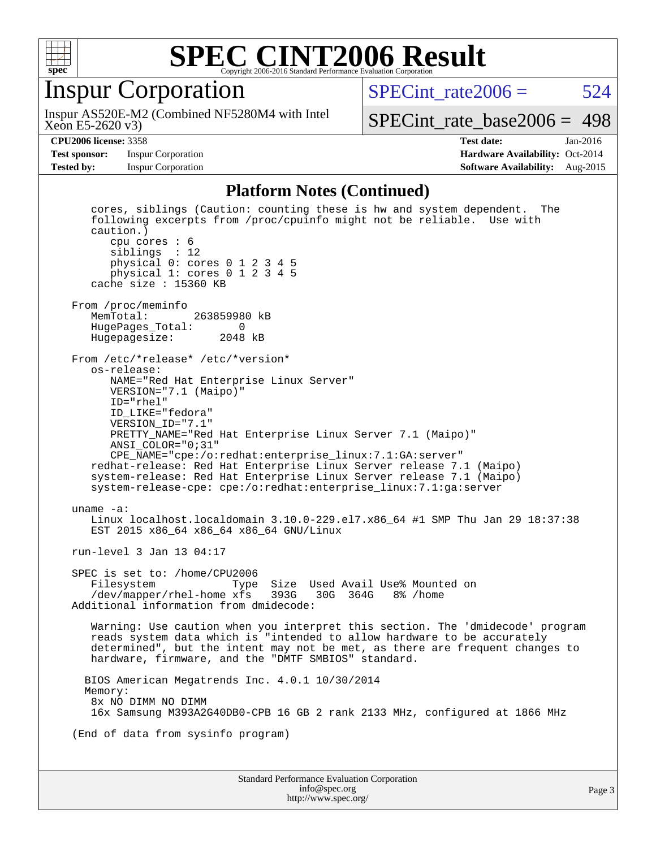

#### Inspur Corporation

Inspur AS520E-M2 (Combined NF5280M4 with Intel

 $SPECint rate2006 = 524$ 

Xeon E5-2620 v3)

[SPECint\\_rate\\_base2006 =](http://www.spec.org/auto/cpu2006/Docs/result-fields.html#SPECintratebase2006) 498

**[CPU2006 license:](http://www.spec.org/auto/cpu2006/Docs/result-fields.html#CPU2006license)** 3358 **[Test date:](http://www.spec.org/auto/cpu2006/Docs/result-fields.html#Testdate)** Jan-2016 **[Test sponsor:](http://www.spec.org/auto/cpu2006/Docs/result-fields.html#Testsponsor)** Inspur Corporation **[Hardware Availability:](http://www.spec.org/auto/cpu2006/Docs/result-fields.html#HardwareAvailability)** Oct-2014 **[Tested by:](http://www.spec.org/auto/cpu2006/Docs/result-fields.html#Testedby)** Inspur Corporation **[Software Availability:](http://www.spec.org/auto/cpu2006/Docs/result-fields.html#SoftwareAvailability)** Aug-2015

#### **[Platform Notes \(Continued\)](http://www.spec.org/auto/cpu2006/Docs/result-fields.html#PlatformNotes)**

Standard Performance Evaluation Corporation [info@spec.org](mailto:info@spec.org) cores, siblings (Caution: counting these is hw and system dependent. The following excerpts from /proc/cpuinfo might not be reliable. Use with caution.) cpu cores : 6 siblings : 12 physical 0: cores 0 1 2 3 4 5 physical 1: cores 0 1 2 3 4 5 cache size : 15360 KB From /proc/meminfo<br>MemTotal: 263859980 kB HugePages\_Total: 0 Hugepagesize: 2048 kB From /etc/\*release\* /etc/\*version\* os-release: NAME="Red Hat Enterprise Linux Server" VERSION="7.1 (Maipo)" ID="rhel" ID\_LIKE="fedora" VERSION\_ID="7.1" PRETTY\_NAME="Red Hat Enterprise Linux Server 7.1 (Maipo)" ANSI\_COLOR="0;31" CPE\_NAME="cpe:/o:redhat:enterprise\_linux:7.1:GA:server" redhat-release: Red Hat Enterprise Linux Server release 7.1 (Maipo) system-release: Red Hat Enterprise Linux Server release 7.1 (Maipo) system-release-cpe: cpe:/o:redhat:enterprise\_linux:7.1:ga:server uname -a: Linux localhost.localdomain 3.10.0-229.el7.x86\_64 #1 SMP Thu Jan 29 18:37:38 EST 2015 x86\_64 x86\_64 x86\_64 GNU/Linux run-level 3 Jan 13 04:17 SPEC is set to: /home/CPU2006 Filesystem Type Size Used Avail Use% Mounted on<br>/dev/mapper/rhel-home xfs 393G 30G 364G 8% /home /dev/mapper/rhel-home xfs 393G Additional information from dmidecode: Warning: Use caution when you interpret this section. The 'dmidecode' program reads system data which is "intended to allow hardware to be accurately determined", but the intent may not be met, as there are frequent changes to hardware, firmware, and the "DMTF SMBIOS" standard. BIOS American Megatrends Inc. 4.0.1 10/30/2014 Memory: 8x NO DIMM NO DIMM 16x Samsung M393A2G40DB0-CPB 16 GB 2 rank 2133 MHz, configured at 1866 MHz (End of data from sysinfo program)

<http://www.spec.org/>

Page 3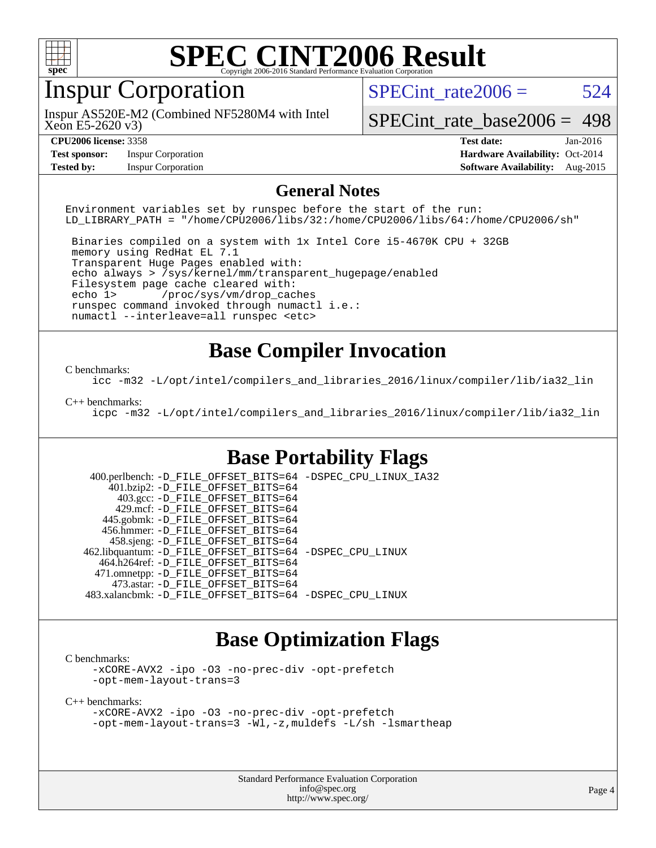

### Inspur Corporation

Xeon E5-2620 v3) Inspur AS520E-M2 (Combined NF5280M4 with Intel SPECint rate $2006 = 524$ 

[SPECint\\_rate\\_base2006 =](http://www.spec.org/auto/cpu2006/Docs/result-fields.html#SPECintratebase2006) 498

**[Test sponsor:](http://www.spec.org/auto/cpu2006/Docs/result-fields.html#Testsponsor)** Inspur Corporation **[Hardware Availability:](http://www.spec.org/auto/cpu2006/Docs/result-fields.html#HardwareAvailability)** Oct-2014

**[CPU2006 license:](http://www.spec.org/auto/cpu2006/Docs/result-fields.html#CPU2006license)** 3358 **[Test date:](http://www.spec.org/auto/cpu2006/Docs/result-fields.html#Testdate)** Jan-2016 **[Tested by:](http://www.spec.org/auto/cpu2006/Docs/result-fields.html#Testedby)** Inspur Corporation **[Software Availability:](http://www.spec.org/auto/cpu2006/Docs/result-fields.html#SoftwareAvailability)** Aug-2015

#### **[General Notes](http://www.spec.org/auto/cpu2006/Docs/result-fields.html#GeneralNotes)**

Environment variables set by runspec before the start of the run: LD\_LIBRARY\_PATH = "/home/CPU2006/libs/32:/home/CPU2006/libs/64:/home/CPU2006/sh"

 Binaries compiled on a system with 1x Intel Core i5-4670K CPU + 32GB memory using RedHat EL 7.1 Transparent Huge Pages enabled with: echo always > /sys/kernel/mm/transparent\_hugepage/enabled Filesystem page cache cleared with: echo 1> /proc/sys/vm/drop\_caches runspec command invoked through numactl i.e.: numactl --interleave=all runspec <etc>

#### **[Base Compiler Invocation](http://www.spec.org/auto/cpu2006/Docs/result-fields.html#BaseCompilerInvocation)**

#### [C benchmarks](http://www.spec.org/auto/cpu2006/Docs/result-fields.html#Cbenchmarks):

[icc -m32 -L/opt/intel/compilers\\_and\\_libraries\\_2016/linux/compiler/lib/ia32\\_lin](http://www.spec.org/cpu2006/results/res2016q1/cpu2006-20160201-38954.flags.html#user_CCbase_intel_icc_e10256ba5924b668798078a321b0cb3f)

#### [C++ benchmarks:](http://www.spec.org/auto/cpu2006/Docs/result-fields.html#CXXbenchmarks)

[icpc -m32 -L/opt/intel/compilers\\_and\\_libraries\\_2016/linux/compiler/lib/ia32\\_lin](http://www.spec.org/cpu2006/results/res2016q1/cpu2006-20160201-38954.flags.html#user_CXXbase_intel_icpc_b4f50a394bdb4597aa5879c16bc3f5c5)

#### **[Base Portability Flags](http://www.spec.org/auto/cpu2006/Docs/result-fields.html#BasePortabilityFlags)**

 400.perlbench: [-D\\_FILE\\_OFFSET\\_BITS=64](http://www.spec.org/cpu2006/results/res2016q1/cpu2006-20160201-38954.flags.html#user_basePORTABILITY400_perlbench_file_offset_bits_64_438cf9856305ebd76870a2c6dc2689ab) [-DSPEC\\_CPU\\_LINUX\\_IA32](http://www.spec.org/cpu2006/results/res2016q1/cpu2006-20160201-38954.flags.html#b400.perlbench_baseCPORTABILITY_DSPEC_CPU_LINUX_IA32) 401.bzip2: [-D\\_FILE\\_OFFSET\\_BITS=64](http://www.spec.org/cpu2006/results/res2016q1/cpu2006-20160201-38954.flags.html#user_basePORTABILITY401_bzip2_file_offset_bits_64_438cf9856305ebd76870a2c6dc2689ab) 403.gcc: [-D\\_FILE\\_OFFSET\\_BITS=64](http://www.spec.org/cpu2006/results/res2016q1/cpu2006-20160201-38954.flags.html#user_basePORTABILITY403_gcc_file_offset_bits_64_438cf9856305ebd76870a2c6dc2689ab) 429.mcf: [-D\\_FILE\\_OFFSET\\_BITS=64](http://www.spec.org/cpu2006/results/res2016q1/cpu2006-20160201-38954.flags.html#user_basePORTABILITY429_mcf_file_offset_bits_64_438cf9856305ebd76870a2c6dc2689ab) 445.gobmk: [-D\\_FILE\\_OFFSET\\_BITS=64](http://www.spec.org/cpu2006/results/res2016q1/cpu2006-20160201-38954.flags.html#user_basePORTABILITY445_gobmk_file_offset_bits_64_438cf9856305ebd76870a2c6dc2689ab) 456.hmmer: [-D\\_FILE\\_OFFSET\\_BITS=64](http://www.spec.org/cpu2006/results/res2016q1/cpu2006-20160201-38954.flags.html#user_basePORTABILITY456_hmmer_file_offset_bits_64_438cf9856305ebd76870a2c6dc2689ab) 458.sjeng: [-D\\_FILE\\_OFFSET\\_BITS=64](http://www.spec.org/cpu2006/results/res2016q1/cpu2006-20160201-38954.flags.html#user_basePORTABILITY458_sjeng_file_offset_bits_64_438cf9856305ebd76870a2c6dc2689ab) 462.libquantum: [-D\\_FILE\\_OFFSET\\_BITS=64](http://www.spec.org/cpu2006/results/res2016q1/cpu2006-20160201-38954.flags.html#user_basePORTABILITY462_libquantum_file_offset_bits_64_438cf9856305ebd76870a2c6dc2689ab) [-DSPEC\\_CPU\\_LINUX](http://www.spec.org/cpu2006/results/res2016q1/cpu2006-20160201-38954.flags.html#b462.libquantum_baseCPORTABILITY_DSPEC_CPU_LINUX) 464.h264ref: [-D\\_FILE\\_OFFSET\\_BITS=64](http://www.spec.org/cpu2006/results/res2016q1/cpu2006-20160201-38954.flags.html#user_basePORTABILITY464_h264ref_file_offset_bits_64_438cf9856305ebd76870a2c6dc2689ab) 471.omnetpp: [-D\\_FILE\\_OFFSET\\_BITS=64](http://www.spec.org/cpu2006/results/res2016q1/cpu2006-20160201-38954.flags.html#user_basePORTABILITY471_omnetpp_file_offset_bits_64_438cf9856305ebd76870a2c6dc2689ab) 473.astar: [-D\\_FILE\\_OFFSET\\_BITS=64](http://www.spec.org/cpu2006/results/res2016q1/cpu2006-20160201-38954.flags.html#user_basePORTABILITY473_astar_file_offset_bits_64_438cf9856305ebd76870a2c6dc2689ab) 483.xalancbmk: [-D\\_FILE\\_OFFSET\\_BITS=64](http://www.spec.org/cpu2006/results/res2016q1/cpu2006-20160201-38954.flags.html#user_basePORTABILITY483_xalancbmk_file_offset_bits_64_438cf9856305ebd76870a2c6dc2689ab) [-DSPEC\\_CPU\\_LINUX](http://www.spec.org/cpu2006/results/res2016q1/cpu2006-20160201-38954.flags.html#b483.xalancbmk_baseCXXPORTABILITY_DSPEC_CPU_LINUX)

#### **[Base Optimization Flags](http://www.spec.org/auto/cpu2006/Docs/result-fields.html#BaseOptimizationFlags)**

[C benchmarks](http://www.spec.org/auto/cpu2006/Docs/result-fields.html#Cbenchmarks):

[-xCORE-AVX2](http://www.spec.org/cpu2006/results/res2016q1/cpu2006-20160201-38954.flags.html#user_CCbase_f-xAVX2_5f5fc0cbe2c9f62c816d3e45806c70d7) [-ipo](http://www.spec.org/cpu2006/results/res2016q1/cpu2006-20160201-38954.flags.html#user_CCbase_f-ipo) [-O3](http://www.spec.org/cpu2006/results/res2016q1/cpu2006-20160201-38954.flags.html#user_CCbase_f-O3) [-no-prec-div](http://www.spec.org/cpu2006/results/res2016q1/cpu2006-20160201-38954.flags.html#user_CCbase_f-no-prec-div) [-opt-prefetch](http://www.spec.org/cpu2006/results/res2016q1/cpu2006-20160201-38954.flags.html#user_CCbase_f-opt-prefetch) [-opt-mem-layout-trans=3](http://www.spec.org/cpu2006/results/res2016q1/cpu2006-20160201-38954.flags.html#user_CCbase_f-opt-mem-layout-trans_a7b82ad4bd7abf52556d4961a2ae94d5)

[C++ benchmarks:](http://www.spec.org/auto/cpu2006/Docs/result-fields.html#CXXbenchmarks)

[-xCORE-AVX2](http://www.spec.org/cpu2006/results/res2016q1/cpu2006-20160201-38954.flags.html#user_CXXbase_f-xAVX2_5f5fc0cbe2c9f62c816d3e45806c70d7) [-ipo](http://www.spec.org/cpu2006/results/res2016q1/cpu2006-20160201-38954.flags.html#user_CXXbase_f-ipo) [-O3](http://www.spec.org/cpu2006/results/res2016q1/cpu2006-20160201-38954.flags.html#user_CXXbase_f-O3) [-no-prec-div](http://www.spec.org/cpu2006/results/res2016q1/cpu2006-20160201-38954.flags.html#user_CXXbase_f-no-prec-div) [-opt-prefetch](http://www.spec.org/cpu2006/results/res2016q1/cpu2006-20160201-38954.flags.html#user_CXXbase_f-opt-prefetch) [-opt-mem-layout-trans=3](http://www.spec.org/cpu2006/results/res2016q1/cpu2006-20160201-38954.flags.html#user_CXXbase_f-opt-mem-layout-trans_a7b82ad4bd7abf52556d4961a2ae94d5) [-Wl,-z,muldefs](http://www.spec.org/cpu2006/results/res2016q1/cpu2006-20160201-38954.flags.html#user_CXXbase_link_force_multiple1_74079c344b956b9658436fd1b6dd3a8a) [-L/sh -lsmartheap](http://www.spec.org/cpu2006/results/res2016q1/cpu2006-20160201-38954.flags.html#user_CXXbase_SmartHeap_32f6c82aa1ed9c52345d30cf6e4a0499)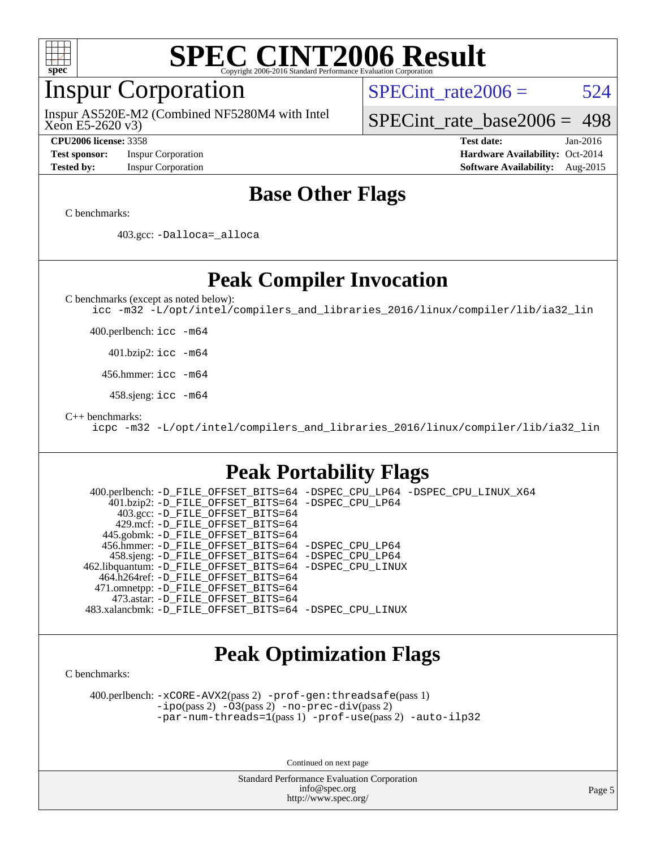

#### Inspur Corporation

Xeon E5-2620 v3) Inspur AS520E-M2 (Combined NF5280M4 with Intel SPECint rate $2006 = 524$ 

[SPECint\\_rate\\_base2006 =](http://www.spec.org/auto/cpu2006/Docs/result-fields.html#SPECintratebase2006) 498

**[Test sponsor:](http://www.spec.org/auto/cpu2006/Docs/result-fields.html#Testsponsor)** Inspur Corporation **[Hardware Availability:](http://www.spec.org/auto/cpu2006/Docs/result-fields.html#HardwareAvailability)** Oct-2014

**[CPU2006 license:](http://www.spec.org/auto/cpu2006/Docs/result-fields.html#CPU2006license)** 3358 **[Test date:](http://www.spec.org/auto/cpu2006/Docs/result-fields.html#Testdate)** Jan-2016 **[Tested by:](http://www.spec.org/auto/cpu2006/Docs/result-fields.html#Testedby)** Inspur Corporation **[Software Availability:](http://www.spec.org/auto/cpu2006/Docs/result-fields.html#SoftwareAvailability)** Aug-2015

#### **[Base Other Flags](http://www.spec.org/auto/cpu2006/Docs/result-fields.html#BaseOtherFlags)**

[C benchmarks](http://www.spec.org/auto/cpu2006/Docs/result-fields.html#Cbenchmarks):

403.gcc: [-Dalloca=\\_alloca](http://www.spec.org/cpu2006/results/res2016q1/cpu2006-20160201-38954.flags.html#b403.gcc_baseEXTRA_CFLAGS_Dalloca_be3056838c12de2578596ca5467af7f3)

**[Peak Compiler Invocation](http://www.spec.org/auto/cpu2006/Docs/result-fields.html#PeakCompilerInvocation)**

[C benchmarks \(except as noted below\)](http://www.spec.org/auto/cpu2006/Docs/result-fields.html#Cbenchmarksexceptasnotedbelow):

[icc -m32 -L/opt/intel/compilers\\_and\\_libraries\\_2016/linux/compiler/lib/ia32\\_lin](http://www.spec.org/cpu2006/results/res2016q1/cpu2006-20160201-38954.flags.html#user_CCpeak_intel_icc_e10256ba5924b668798078a321b0cb3f)

400.perlbench: [icc -m64](http://www.spec.org/cpu2006/results/res2016q1/cpu2006-20160201-38954.flags.html#user_peakCCLD400_perlbench_intel_icc_64bit_bda6cc9af1fdbb0edc3795bac97ada53)

401.bzip2: [icc -m64](http://www.spec.org/cpu2006/results/res2016q1/cpu2006-20160201-38954.flags.html#user_peakCCLD401_bzip2_intel_icc_64bit_bda6cc9af1fdbb0edc3795bac97ada53)

456.hmmer: [icc -m64](http://www.spec.org/cpu2006/results/res2016q1/cpu2006-20160201-38954.flags.html#user_peakCCLD456_hmmer_intel_icc_64bit_bda6cc9af1fdbb0edc3795bac97ada53)

458.sjeng: [icc -m64](http://www.spec.org/cpu2006/results/res2016q1/cpu2006-20160201-38954.flags.html#user_peakCCLD458_sjeng_intel_icc_64bit_bda6cc9af1fdbb0edc3795bac97ada53)

[C++ benchmarks:](http://www.spec.org/auto/cpu2006/Docs/result-fields.html#CXXbenchmarks)

[icpc -m32 -L/opt/intel/compilers\\_and\\_libraries\\_2016/linux/compiler/lib/ia32\\_lin](http://www.spec.org/cpu2006/results/res2016q1/cpu2006-20160201-38954.flags.html#user_CXXpeak_intel_icpc_b4f50a394bdb4597aa5879c16bc3f5c5)

#### **[Peak Portability Flags](http://www.spec.org/auto/cpu2006/Docs/result-fields.html#PeakPortabilityFlags)**

 400.perlbench: [-D\\_FILE\\_OFFSET\\_BITS=64](http://www.spec.org/cpu2006/results/res2016q1/cpu2006-20160201-38954.flags.html#user_peakPORTABILITY400_perlbench_file_offset_bits_64_438cf9856305ebd76870a2c6dc2689ab) [-DSPEC\\_CPU\\_LP64](http://www.spec.org/cpu2006/results/res2016q1/cpu2006-20160201-38954.flags.html#b400.perlbench_peakCPORTABILITY_DSPEC_CPU_LP64) [-DSPEC\\_CPU\\_LINUX\\_X64](http://www.spec.org/cpu2006/results/res2016q1/cpu2006-20160201-38954.flags.html#b400.perlbench_peakCPORTABILITY_DSPEC_CPU_LINUX_X64) 401.bzip2: [-D\\_FILE\\_OFFSET\\_BITS=64](http://www.spec.org/cpu2006/results/res2016q1/cpu2006-20160201-38954.flags.html#user_peakPORTABILITY401_bzip2_file_offset_bits_64_438cf9856305ebd76870a2c6dc2689ab) [-DSPEC\\_CPU\\_LP64](http://www.spec.org/cpu2006/results/res2016q1/cpu2006-20160201-38954.flags.html#suite_peakCPORTABILITY401_bzip2_DSPEC_CPU_LP64) 403.gcc: [-D\\_FILE\\_OFFSET\\_BITS=64](http://www.spec.org/cpu2006/results/res2016q1/cpu2006-20160201-38954.flags.html#user_peakPORTABILITY403_gcc_file_offset_bits_64_438cf9856305ebd76870a2c6dc2689ab) 429.mcf: [-D\\_FILE\\_OFFSET\\_BITS=64](http://www.spec.org/cpu2006/results/res2016q1/cpu2006-20160201-38954.flags.html#user_peakPORTABILITY429_mcf_file_offset_bits_64_438cf9856305ebd76870a2c6dc2689ab) 445.gobmk: [-D\\_FILE\\_OFFSET\\_BITS=64](http://www.spec.org/cpu2006/results/res2016q1/cpu2006-20160201-38954.flags.html#user_peakPORTABILITY445_gobmk_file_offset_bits_64_438cf9856305ebd76870a2c6dc2689ab) 456.hmmer: [-D\\_FILE\\_OFFSET\\_BITS=64](http://www.spec.org/cpu2006/results/res2016q1/cpu2006-20160201-38954.flags.html#user_peakPORTABILITY456_hmmer_file_offset_bits_64_438cf9856305ebd76870a2c6dc2689ab) [-DSPEC\\_CPU\\_LP64](http://www.spec.org/cpu2006/results/res2016q1/cpu2006-20160201-38954.flags.html#suite_peakCPORTABILITY456_hmmer_DSPEC_CPU_LP64) 458.sjeng: [-D\\_FILE\\_OFFSET\\_BITS=64](http://www.spec.org/cpu2006/results/res2016q1/cpu2006-20160201-38954.flags.html#user_peakPORTABILITY458_sjeng_file_offset_bits_64_438cf9856305ebd76870a2c6dc2689ab) [-DSPEC\\_CPU\\_LP64](http://www.spec.org/cpu2006/results/res2016q1/cpu2006-20160201-38954.flags.html#suite_peakCPORTABILITY458_sjeng_DSPEC_CPU_LP64) 462.libquantum: [-D\\_FILE\\_OFFSET\\_BITS=64](http://www.spec.org/cpu2006/results/res2016q1/cpu2006-20160201-38954.flags.html#user_peakPORTABILITY462_libquantum_file_offset_bits_64_438cf9856305ebd76870a2c6dc2689ab) [-DSPEC\\_CPU\\_LINUX](http://www.spec.org/cpu2006/results/res2016q1/cpu2006-20160201-38954.flags.html#b462.libquantum_peakCPORTABILITY_DSPEC_CPU_LINUX) 464.h264ref: [-D\\_FILE\\_OFFSET\\_BITS=64](http://www.spec.org/cpu2006/results/res2016q1/cpu2006-20160201-38954.flags.html#user_peakPORTABILITY464_h264ref_file_offset_bits_64_438cf9856305ebd76870a2c6dc2689ab) 471.omnetpp: [-D\\_FILE\\_OFFSET\\_BITS=64](http://www.spec.org/cpu2006/results/res2016q1/cpu2006-20160201-38954.flags.html#user_peakPORTABILITY471_omnetpp_file_offset_bits_64_438cf9856305ebd76870a2c6dc2689ab) 473.astar: [-D\\_FILE\\_OFFSET\\_BITS=64](http://www.spec.org/cpu2006/results/res2016q1/cpu2006-20160201-38954.flags.html#user_peakPORTABILITY473_astar_file_offset_bits_64_438cf9856305ebd76870a2c6dc2689ab) 483.xalancbmk: [-D\\_FILE\\_OFFSET\\_BITS=64](http://www.spec.org/cpu2006/results/res2016q1/cpu2006-20160201-38954.flags.html#user_peakPORTABILITY483_xalancbmk_file_offset_bits_64_438cf9856305ebd76870a2c6dc2689ab) [-DSPEC\\_CPU\\_LINUX](http://www.spec.org/cpu2006/results/res2016q1/cpu2006-20160201-38954.flags.html#b483.xalancbmk_peakCXXPORTABILITY_DSPEC_CPU_LINUX)

#### **[Peak Optimization Flags](http://www.spec.org/auto/cpu2006/Docs/result-fields.html#PeakOptimizationFlags)**

[C benchmarks](http://www.spec.org/auto/cpu2006/Docs/result-fields.html#Cbenchmarks):

 400.perlbench: [-xCORE-AVX2](http://www.spec.org/cpu2006/results/res2016q1/cpu2006-20160201-38954.flags.html#user_peakPASS2_CFLAGSPASS2_LDCFLAGS400_perlbench_f-xAVX2_5f5fc0cbe2c9f62c816d3e45806c70d7)(pass 2) [-prof-gen:threadsafe](http://www.spec.org/cpu2006/results/res2016q1/cpu2006-20160201-38954.flags.html#user_peakPASS1_CFLAGSPASS1_LDCFLAGS400_perlbench_prof_gen_21a26eb79f378b550acd7bec9fe4467a)(pass 1) [-ipo](http://www.spec.org/cpu2006/results/res2016q1/cpu2006-20160201-38954.flags.html#user_peakPASS2_CFLAGSPASS2_LDCFLAGS400_perlbench_f-ipo)(pass 2) [-O3](http://www.spec.org/cpu2006/results/res2016q1/cpu2006-20160201-38954.flags.html#user_peakPASS2_CFLAGSPASS2_LDCFLAGS400_perlbench_f-O3)(pass 2) [-no-prec-div](http://www.spec.org/cpu2006/results/res2016q1/cpu2006-20160201-38954.flags.html#user_peakPASS2_CFLAGSPASS2_LDCFLAGS400_perlbench_f-no-prec-div)(pass 2) [-par-num-threads=1](http://www.spec.org/cpu2006/results/res2016q1/cpu2006-20160201-38954.flags.html#user_peakPASS1_CFLAGSPASS1_LDCFLAGS400_perlbench_par_num_threads_786a6ff141b4e9e90432e998842df6c2)(pass 1) [-prof-use](http://www.spec.org/cpu2006/results/res2016q1/cpu2006-20160201-38954.flags.html#user_peakPASS2_CFLAGSPASS2_LDCFLAGS400_perlbench_prof_use_bccf7792157ff70d64e32fe3e1250b55)(pass 2) [-auto-ilp32](http://www.spec.org/cpu2006/results/res2016q1/cpu2006-20160201-38954.flags.html#user_peakCOPTIMIZE400_perlbench_f-auto-ilp32)

Continued on next page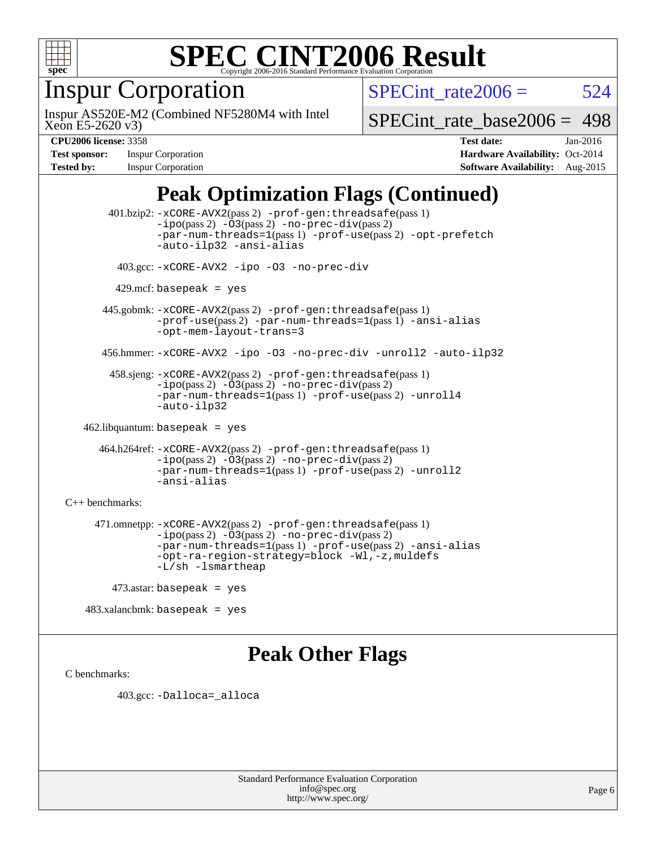

### Inspur Corporation

Xeon E5-2620 v3) Inspur AS520E-M2 (Combined NF5280M4 with Intel SPECint rate $2006 = 524$ 

[SPECint\\_rate\\_base2006 =](http://www.spec.org/auto/cpu2006/Docs/result-fields.html#SPECintratebase2006) 498

**[Test sponsor:](http://www.spec.org/auto/cpu2006/Docs/result-fields.html#Testsponsor)** Inspur Corporation **[Hardware Availability:](http://www.spec.org/auto/cpu2006/Docs/result-fields.html#HardwareAvailability)** Oct-2014

**[CPU2006 license:](http://www.spec.org/auto/cpu2006/Docs/result-fields.html#CPU2006license)** 3358 **[Test date:](http://www.spec.org/auto/cpu2006/Docs/result-fields.html#Testdate)** Jan-2016 **[Tested by:](http://www.spec.org/auto/cpu2006/Docs/result-fields.html#Testedby)** Inspur Corporation **[Software Availability:](http://www.spec.org/auto/cpu2006/Docs/result-fields.html#SoftwareAvailability)** Aug-2015

#### **[Peak Optimization Flags \(Continued\)](http://www.spec.org/auto/cpu2006/Docs/result-fields.html#PeakOptimizationFlags)**

 401.bzip2: [-xCORE-AVX2](http://www.spec.org/cpu2006/results/res2016q1/cpu2006-20160201-38954.flags.html#user_peakPASS2_CFLAGSPASS2_LDCFLAGS401_bzip2_f-xAVX2_5f5fc0cbe2c9f62c816d3e45806c70d7)(pass 2) [-prof-gen:threadsafe](http://www.spec.org/cpu2006/results/res2016q1/cpu2006-20160201-38954.flags.html#user_peakPASS1_CFLAGSPASS1_LDCFLAGS401_bzip2_prof_gen_21a26eb79f378b550acd7bec9fe4467a)(pass 1)  $-i\text{po}(pass 2) -03(pass 2) -no-prec-div(pass 2)$  $-i\text{po}(pass 2) -03(pass 2) -no-prec-div(pass 2)$  $-i\text{po}(pass 2) -03(pass 2) -no-prec-div(pass 2)$ [-par-num-threads=1](http://www.spec.org/cpu2006/results/res2016q1/cpu2006-20160201-38954.flags.html#user_peakPASS1_CFLAGSPASS1_LDCFLAGS401_bzip2_par_num_threads_786a6ff141b4e9e90432e998842df6c2)(pass 1) [-prof-use](http://www.spec.org/cpu2006/results/res2016q1/cpu2006-20160201-38954.flags.html#user_peakPASS2_CFLAGSPASS2_LDCFLAGS401_bzip2_prof_use_bccf7792157ff70d64e32fe3e1250b55)(pass 2) [-opt-prefetch](http://www.spec.org/cpu2006/results/res2016q1/cpu2006-20160201-38954.flags.html#user_peakCOPTIMIZE401_bzip2_f-opt-prefetch) [-auto-ilp32](http://www.spec.org/cpu2006/results/res2016q1/cpu2006-20160201-38954.flags.html#user_peakCOPTIMIZE401_bzip2_f-auto-ilp32) [-ansi-alias](http://www.spec.org/cpu2006/results/res2016q1/cpu2006-20160201-38954.flags.html#user_peakCOPTIMIZE401_bzip2_f-ansi-alias) 403.gcc: [-xCORE-AVX2](http://www.spec.org/cpu2006/results/res2016q1/cpu2006-20160201-38954.flags.html#user_peakCOPTIMIZE403_gcc_f-xAVX2_5f5fc0cbe2c9f62c816d3e45806c70d7) [-ipo](http://www.spec.org/cpu2006/results/res2016q1/cpu2006-20160201-38954.flags.html#user_peakCOPTIMIZE403_gcc_f-ipo) [-O3](http://www.spec.org/cpu2006/results/res2016q1/cpu2006-20160201-38954.flags.html#user_peakCOPTIMIZE403_gcc_f-O3) [-no-prec-div](http://www.spec.org/cpu2006/results/res2016q1/cpu2006-20160201-38954.flags.html#user_peakCOPTIMIZE403_gcc_f-no-prec-div)  $429$ .mcf: basepeak = yes 445.gobmk: [-xCORE-AVX2](http://www.spec.org/cpu2006/results/res2016q1/cpu2006-20160201-38954.flags.html#user_peakPASS2_CFLAGSPASS2_LDCFLAGS445_gobmk_f-xAVX2_5f5fc0cbe2c9f62c816d3e45806c70d7)(pass 2) [-prof-gen:threadsafe](http://www.spec.org/cpu2006/results/res2016q1/cpu2006-20160201-38954.flags.html#user_peakPASS1_CFLAGSPASS1_LDCFLAGS445_gobmk_prof_gen_21a26eb79f378b550acd7bec9fe4467a)(pass 1) [-prof-use](http://www.spec.org/cpu2006/results/res2016q1/cpu2006-20160201-38954.flags.html#user_peakPASS2_CFLAGSPASS2_LDCFLAGS445_gobmk_prof_use_bccf7792157ff70d64e32fe3e1250b55)(pass 2) [-par-num-threads=1](http://www.spec.org/cpu2006/results/res2016q1/cpu2006-20160201-38954.flags.html#user_peakPASS1_CFLAGSPASS1_LDCFLAGS445_gobmk_par_num_threads_786a6ff141b4e9e90432e998842df6c2)(pass 1) [-ansi-alias](http://www.spec.org/cpu2006/results/res2016q1/cpu2006-20160201-38954.flags.html#user_peakCOPTIMIZE445_gobmk_f-ansi-alias) [-opt-mem-layout-trans=3](http://www.spec.org/cpu2006/results/res2016q1/cpu2006-20160201-38954.flags.html#user_peakCOPTIMIZE445_gobmk_f-opt-mem-layout-trans_a7b82ad4bd7abf52556d4961a2ae94d5) 456.hmmer: [-xCORE-AVX2](http://www.spec.org/cpu2006/results/res2016q1/cpu2006-20160201-38954.flags.html#user_peakCOPTIMIZE456_hmmer_f-xAVX2_5f5fc0cbe2c9f62c816d3e45806c70d7) [-ipo](http://www.spec.org/cpu2006/results/res2016q1/cpu2006-20160201-38954.flags.html#user_peakCOPTIMIZE456_hmmer_f-ipo) [-O3](http://www.spec.org/cpu2006/results/res2016q1/cpu2006-20160201-38954.flags.html#user_peakCOPTIMIZE456_hmmer_f-O3) [-no-prec-div](http://www.spec.org/cpu2006/results/res2016q1/cpu2006-20160201-38954.flags.html#user_peakCOPTIMIZE456_hmmer_f-no-prec-div) [-unroll2](http://www.spec.org/cpu2006/results/res2016q1/cpu2006-20160201-38954.flags.html#user_peakCOPTIMIZE456_hmmer_f-unroll_784dae83bebfb236979b41d2422d7ec2) [-auto-ilp32](http://www.spec.org/cpu2006/results/res2016q1/cpu2006-20160201-38954.flags.html#user_peakCOPTIMIZE456_hmmer_f-auto-ilp32) 458.sjeng: [-xCORE-AVX2](http://www.spec.org/cpu2006/results/res2016q1/cpu2006-20160201-38954.flags.html#user_peakPASS2_CFLAGSPASS2_LDCFLAGS458_sjeng_f-xAVX2_5f5fc0cbe2c9f62c816d3e45806c70d7)(pass 2) [-prof-gen:threadsafe](http://www.spec.org/cpu2006/results/res2016q1/cpu2006-20160201-38954.flags.html#user_peakPASS1_CFLAGSPASS1_LDCFLAGS458_sjeng_prof_gen_21a26eb79f378b550acd7bec9fe4467a)(pass 1)  $-i\text{po}(pass 2) -\overline{O}3(pass 2)$  [-no-prec-div](http://www.spec.org/cpu2006/results/res2016q1/cpu2006-20160201-38954.flags.html#user_peakPASS2_CFLAGSPASS2_LDCFLAGS458_sjeng_f-no-prec-div)(pass 2) [-par-num-threads=1](http://www.spec.org/cpu2006/results/res2016q1/cpu2006-20160201-38954.flags.html#user_peakPASS1_CFLAGSPASS1_LDCFLAGS458_sjeng_par_num_threads_786a6ff141b4e9e90432e998842df6c2)(pass 1) [-prof-use](http://www.spec.org/cpu2006/results/res2016q1/cpu2006-20160201-38954.flags.html#user_peakPASS2_CFLAGSPASS2_LDCFLAGS458_sjeng_prof_use_bccf7792157ff70d64e32fe3e1250b55)(pass 2) [-unroll4](http://www.spec.org/cpu2006/results/res2016q1/cpu2006-20160201-38954.flags.html#user_peakCOPTIMIZE458_sjeng_f-unroll_4e5e4ed65b7fd20bdcd365bec371b81f) [-auto-ilp32](http://www.spec.org/cpu2006/results/res2016q1/cpu2006-20160201-38954.flags.html#user_peakCOPTIMIZE458_sjeng_f-auto-ilp32) 462.libquantum: basepeak = yes 464.h264ref: [-xCORE-AVX2](http://www.spec.org/cpu2006/results/res2016q1/cpu2006-20160201-38954.flags.html#user_peakPASS2_CFLAGSPASS2_LDCFLAGS464_h264ref_f-xAVX2_5f5fc0cbe2c9f62c816d3e45806c70d7)(pass 2) [-prof-gen:threadsafe](http://www.spec.org/cpu2006/results/res2016q1/cpu2006-20160201-38954.flags.html#user_peakPASS1_CFLAGSPASS1_LDCFLAGS464_h264ref_prof_gen_21a26eb79f378b550acd7bec9fe4467a)(pass 1) [-ipo](http://www.spec.org/cpu2006/results/res2016q1/cpu2006-20160201-38954.flags.html#user_peakPASS2_CFLAGSPASS2_LDCFLAGS464_h264ref_f-ipo)(pass 2) [-O3](http://www.spec.org/cpu2006/results/res2016q1/cpu2006-20160201-38954.flags.html#user_peakPASS2_CFLAGSPASS2_LDCFLAGS464_h264ref_f-O3)(pass 2) [-no-prec-div](http://www.spec.org/cpu2006/results/res2016q1/cpu2006-20160201-38954.flags.html#user_peakPASS2_CFLAGSPASS2_LDCFLAGS464_h264ref_f-no-prec-div)(pass 2) [-par-num-threads=1](http://www.spec.org/cpu2006/results/res2016q1/cpu2006-20160201-38954.flags.html#user_peakPASS1_CFLAGSPASS1_LDCFLAGS464_h264ref_par_num_threads_786a6ff141b4e9e90432e998842df6c2)(pass 1) [-prof-use](http://www.spec.org/cpu2006/results/res2016q1/cpu2006-20160201-38954.flags.html#user_peakPASS2_CFLAGSPASS2_LDCFLAGS464_h264ref_prof_use_bccf7792157ff70d64e32fe3e1250b55)(pass 2) [-unroll2](http://www.spec.org/cpu2006/results/res2016q1/cpu2006-20160201-38954.flags.html#user_peakCOPTIMIZE464_h264ref_f-unroll_784dae83bebfb236979b41d2422d7ec2) [-ansi-alias](http://www.spec.org/cpu2006/results/res2016q1/cpu2006-20160201-38954.flags.html#user_peakCOPTIMIZE464_h264ref_f-ansi-alias) [C++ benchmarks:](http://www.spec.org/auto/cpu2006/Docs/result-fields.html#CXXbenchmarks) 471.omnetpp: [-xCORE-AVX2](http://www.spec.org/cpu2006/results/res2016q1/cpu2006-20160201-38954.flags.html#user_peakPASS2_CXXFLAGSPASS2_LDCXXFLAGS471_omnetpp_f-xAVX2_5f5fc0cbe2c9f62c816d3e45806c70d7)(pass 2) [-prof-gen:threadsafe](http://www.spec.org/cpu2006/results/res2016q1/cpu2006-20160201-38954.flags.html#user_peakPASS1_CXXFLAGSPASS1_LDCXXFLAGS471_omnetpp_prof_gen_21a26eb79f378b550acd7bec9fe4467a)(pass 1)  $-ipo(pass 2) -\overline{03(pass 2)}$  $-ipo(pass 2) -\overline{03(pass 2)}$  [-no-prec-div](http://www.spec.org/cpu2006/results/res2016q1/cpu2006-20160201-38954.flags.html#user_peakPASS2_CXXFLAGSPASS2_LDCXXFLAGS471_omnetpp_f-no-prec-div)(pass 2) [-par-num-threads=1](http://www.spec.org/cpu2006/results/res2016q1/cpu2006-20160201-38954.flags.html#user_peakPASS1_CXXFLAGSPASS1_LDCXXFLAGS471_omnetpp_par_num_threads_786a6ff141b4e9e90432e998842df6c2)(pass 1) [-prof-use](http://www.spec.org/cpu2006/results/res2016q1/cpu2006-20160201-38954.flags.html#user_peakPASS2_CXXFLAGSPASS2_LDCXXFLAGS471_omnetpp_prof_use_bccf7792157ff70d64e32fe3e1250b55)(pass 2) [-ansi-alias](http://www.spec.org/cpu2006/results/res2016q1/cpu2006-20160201-38954.flags.html#user_peakCXXOPTIMIZE471_omnetpp_f-ansi-alias) [-opt-ra-region-strategy=block](http://www.spec.org/cpu2006/results/res2016q1/cpu2006-20160201-38954.flags.html#user_peakCXXOPTIMIZE471_omnetpp_f-opt-ra-region-strategy_a0a37c372d03933b2a18d4af463c1f69) [-Wl,-z,muldefs](http://www.spec.org/cpu2006/results/res2016q1/cpu2006-20160201-38954.flags.html#user_peakEXTRA_LDFLAGS471_omnetpp_link_force_multiple1_74079c344b956b9658436fd1b6dd3a8a) [-L/sh -lsmartheap](http://www.spec.org/cpu2006/results/res2016q1/cpu2006-20160201-38954.flags.html#user_peakEXTRA_LIBS471_omnetpp_SmartHeap_32f6c82aa1ed9c52345d30cf6e4a0499) 473.astar: basepeak = yes

483.xalancbmk: basepeak = yes

#### **[Peak Other Flags](http://www.spec.org/auto/cpu2006/Docs/result-fields.html#PeakOtherFlags)**

[C benchmarks](http://www.spec.org/auto/cpu2006/Docs/result-fields.html#Cbenchmarks):

403.gcc: [-Dalloca=\\_alloca](http://www.spec.org/cpu2006/results/res2016q1/cpu2006-20160201-38954.flags.html#b403.gcc_peakEXTRA_CFLAGS_Dalloca_be3056838c12de2578596ca5467af7f3)